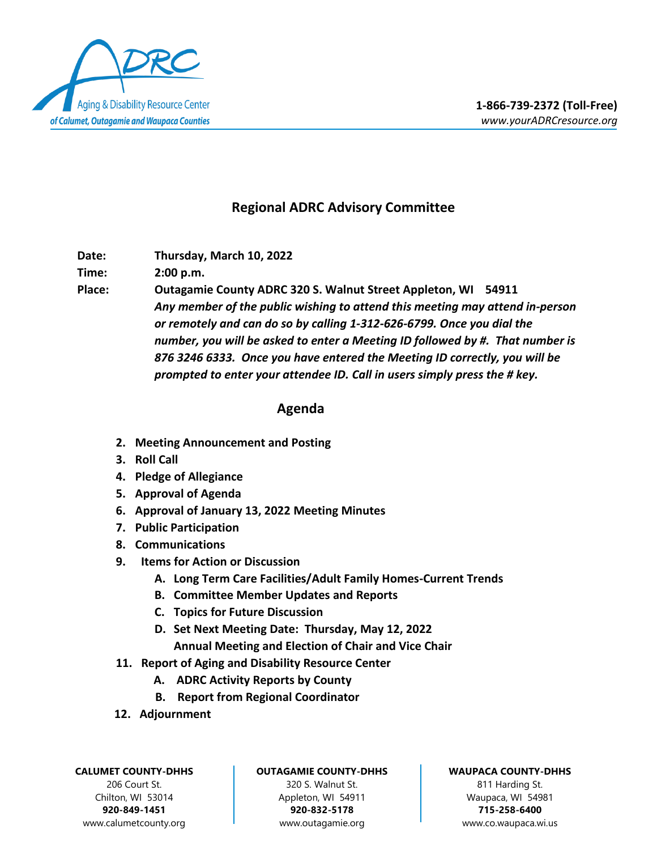

## **Regional ADRC Advisory Committee**

**Date: Thursday, March 10, 2022**

**Time: 2:00 p.m.**

**Place: Outagamie County ADRC 320 S. Walnut Street Appleton, WI 54911** *Any member of the public wishing to attend this meeting may attend in-person or remotely and can do so by calling 1-312-626-6799. Once you dial the number, you will be asked to enter a Meeting ID followed by #. That number is 876 3246 6333. Once you have entered the Meeting ID correctly, you will be prompted to enter your attendee ID. Call in users simply press the # key.*

## **Agenda**

- **2. Meeting Announcement and Posting**
- **3. Roll Call**
- **4. Pledge of Allegiance**
- **5. Approval of Agenda**
- **6. Approval of January 13, 2022 Meeting Minutes**
- **7. Public Participation**
- **8. Communications**
- **9. Items for Action or Discussion**
	- **A. Long Term Care Facilities/Adult Family Homes-Current Trends**
	- **B. Committee Member Updates and Reports**
	- **C. Topics for Future Discussion**
	- **D. Set Next Meeting Date: Thursday, May 12, 2022 Annual Meeting and Election of Chair and Vice Chair**
- **11. Report of Aging and Disability Resource Center**
	- **A. ADRC Activity Reports by County**
	- **B. Report from Regional Coordinator**
- **12. Adjournment**

**CALUMET COUNTY-DHHS** 206 Court St. Chilton, WI 53014 **920-849-1451**

www.calumetcounty.org

## **OUTAGAMIE COUNTY-DHHS**

320 S. Walnut St. Appleton, WI 54911 **920-832-5178** [www.outagamie.org](http://www.outagamie.org/)

## **WAUPACA COUNTY-DHHS**

811 Harding St. Waupaca, WI 54981 **715-258-6400** www.co.waupaca.wi.us